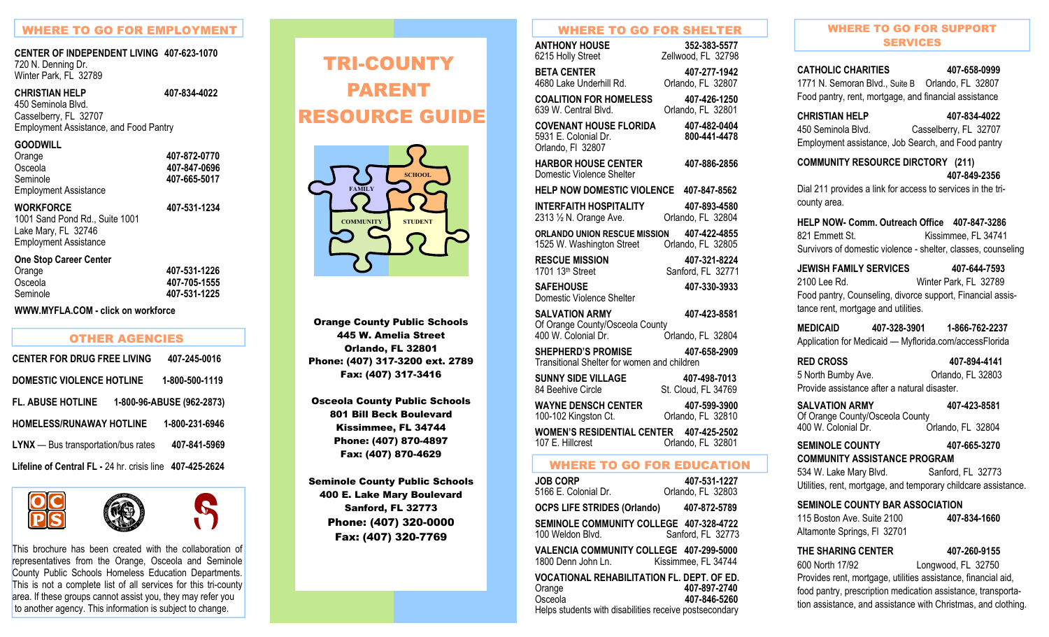### WHERE TO GO FOR EMPLOYMENT

# **CENTER OF INDEPENDENT LIVING 407-623-1070** 720 N. Denning Dr.

Winter Park, FL 32789

**CHRISTIAN HELP 407-834-4022** 

450 Seminola Blvd. Casselberry, FL 32707 Employment Assistance, and Food Pantry

#### **GOODWILL**

Orange **407-872-0770**  Osceola **407-847-0696** Seminole **407-665-5017** Employment Assistance

Osceola **407-705-1555** 

 $\mathcal{S}% _{M_{1},M_{2}}^{(n)}(\theta)=\left( \mathcal{S}% _{M_{1},M_{2}}^{(n)}(\theta)\right) ^{\ast}$ 

#### **WORKFORCE 407-531-1234**

1001 Sand Pond Rd., Suite 1001 Lake Mary, FL 32746 Employment Assistance

#### **One Stop Career Center**

Orange **407-531-1226**  Seminole **407-531-1225** 

**WWW.MYFLA.COM - click on workforce** 

| <b>OTHER AGENCIES</b>                                    |                           |
|----------------------------------------------------------|---------------------------|
| <b>CENTER FOR DRUG FREE LIVING</b>                       | 407-245-0016              |
| DOMESTIC VIOLENCE HOTLINE                                | 1-800-500-1119            |
| <b>FL. ABUSE HOTLINE</b>                                 | 1-800-96-ABUSE (962-2873) |
| <b>HOMELESS/RUNAWAY HOTLINE</b>                          | 1-800-231-6946            |
| <b>LYNX</b> - Bus transportation/bus rates               | 407-841-5969              |
| Lifeline of Central FL - 24 hr. crisis line 407-425-2624 |                           |







This brochure has been created with the collaboration of representatives from the Orange, Osceola and Seminole County Public Schools Homeless Education Departments. This is not a complete list of all services for this tri-county area. If these groups cannot assist you, they may refer you to another agency. This information is subject to change.

# PARENT RESOURCE GUIDE  $R$ TRI-COUNTY PARENT



Orlando, FL 32801 Schools Phone: (407) 317-3200 ext. 2789 Orange County Public Schools 445 W. Amelia Street Fax: (407) 317-3416

Osceola County Public Schools 801 Bill Beck Boulevard Phone: (407) 870-4897 Fax: (407) 870-4629 Kissimmee, FL 34744

Seminole County Public Schools 400 E. Lake Mary Boulevard Sanford, FL 32773 Phone: (407) 320-0000 Fax: (407) 320-7769

#### WHERE TO GO FOR SHELTER

| <b>ANTHONY HOUSE</b><br>6215 Holly Street                                       | 352-383-5577<br>Zellwood, FL 32798  |
|---------------------------------------------------------------------------------|-------------------------------------|
| <b>BETA CENTER</b><br>4680 Lake Underhill Rd.                                   | 407-277-1942<br>Orlando, FL 32807   |
| <b>COALITION FOR HOMELESS</b><br>639 W. Central Blvd.                           | 407-426-1250<br>Orlando, FL 32801   |
| <b>COVENANT HOUSE FLORIDA</b><br>5931 E. Colonial Dr.<br>Orlando, FI 32807      | 407-482-0404<br>800-441-4478        |
| <b>HARBOR HOUSE CENTER</b><br>Domestic Violence Shelter                         | 407-886-2856                        |
| HELP NOW DOMESTIC VIOLENCE 407-847-8562                                         |                                     |
| <b>INTERFAITH HOSPITALITY</b><br>2313 1/2 N. Orange Ave.                        | 407-893-4580<br>Orlando, FL 32804   |
| <b>ORLANDO UNION RESCUE MISSION</b><br>1525 W. Washington Street                | 407-422-4855<br>Orlando, FL 32805   |
| <b>RESCUE MISSION</b><br>1701 13th Street                                       | 407-321-8224<br>Sanford, FL 32771   |
| <b>SAFEHOUSE</b><br>Domestic Violence Shelter                                   | 407-330-3933                        |
| <b>SALVATION ARMY</b><br>Of Orange County/Osceola County<br>400 W. Colonial Dr. | 407-423-8581<br>Orlando, FL 32804   |
| <b>SHEPHERD'S PROMISE</b><br>Transitional Shelter for women and children        | 407-658-2909                        |
| <b>SUNNY SIDE VILLAGE</b><br>84 Beehive Circle                                  | 407-498-7013<br>St. Cloud, FL 34769 |
| <b>WAYNE DENSCH CENTER</b>                                                      | 407-599-3900                        |

100-102 Kingston Ct. Orlando, FL 32810 **WOMEN'S RESIDENTIAL CENTER 407-425-2502** 107 E. Hillcrest Orlando, FL 32801

#### WHERE TO GO FOR EDUCATION

| <b>JOB CORP</b><br>5166 E. Colonial Dr.                                                                                          | 407-531-1227<br>Orlando, FL 32803 |
|----------------------------------------------------------------------------------------------------------------------------------|-----------------------------------|
| <b>OCPS LIFE STRIDES (Orlando)</b>                                                                                               | 407-872-5789                      |
| SEMINOLE COMMUNITY COLLEGE 407-328-4722<br>100 Weldon Blvd.                                                                      | Sanford, FL 32773                 |
| VALENCIA COMMUNITY COLLEGE 407-299-5000<br>1800 Denn John Ln.                                                                    | Kissimmee, FL 34744               |
| <b>VOCATIONAL REHABILITATION FL. DEPT. OF ED.</b><br>Orange<br>Osceola<br>Helps students with disabilities receive postsecondary | 407-897-2740<br>407-846-5260      |

### WHERE TO GO FOR SUPPORT SERVICES

**CATHOLIC CHARITIES 407-658-0999** 1771 N. Semoran Blvd., Suite B Orlando, FL 32807 Food pantry, rent, mortgage, and financial assistance

# **CHRISTIAN HELP 407-834-4022**

450 Seminola Blvd. Casselberry, FL 32707 Employment assistance, Job Search, and Food pantry

**COMMUNITY RESOURCE DIRCTORY (211) 407-849-2356** 

Dial 211 provides a link for access to services in the tricounty area.

#### **HELP NOW- Comm. Outreach Office 407-847-3286** 821 Emmett St. Kissimmee, FL 34741 Survivors of domestic violence - shelter, classes, counseling

**JEWISH FAMILY SERVICES 407-644-7593** 2100 Lee Rd. Winter Park, FL 32789 Food pantry, Counseling, divorce support, Financial assistance rent, mortgage and utilities.

**MEDICAID 407-328-3901 1-866-762-2237** Application for Medicaid — Myflorida.com/accessFlorida

**RED CROSS 407-894-4141** 5 North Bumby Ave. Quando, FL 32803 Provide assistance after a natural disaster.

| <b>SALVATION ARMY</b>           | 407-423-8581      |
|---------------------------------|-------------------|
| Of Orange County/Osceola County |                   |
| 400 W. Colonial Dr.             | Orlando, FL 32804 |

**SEMINOLE COUNTY 407-665-3270 COMMUNITY ASSISTANCE PROGRAM** 

534 W. Lake Mary Blvd. Sanford, FL 32773 Utilities, rent, mortgage, and temporary childcare assistance.

#### **SEMINOLE COUNTY BAR ASSOCIATION**

| 115 Boston Ave. Suite 2100  | 407-834-1660 |
|-----------------------------|--------------|
| Altamonte Springs, FI 32701 |              |

**THE SHARING CENTER 407-260-9155** 600 North 17/92 Longwood, FL 32750 Provides rent, mortgage, utilities assistance, financial aid, food pantry, prescription medication assistance, transportation assistance, and assistance with Christmas, and clothing.